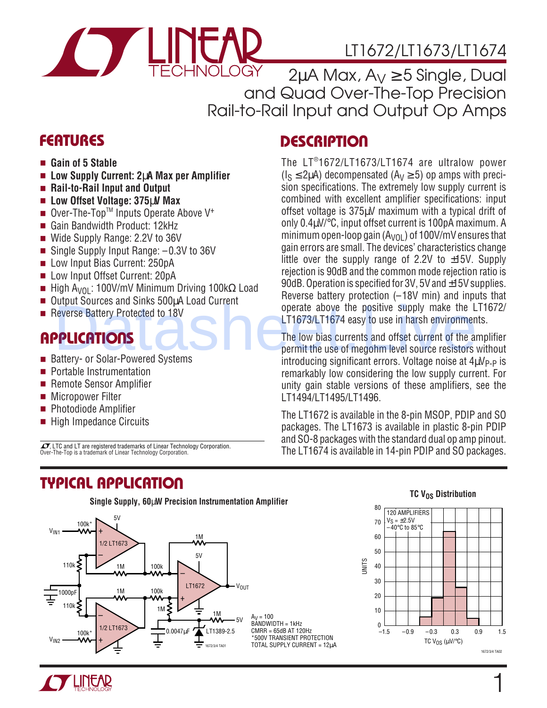

# LT1672/LT1673/LT1674

 $2\mu$ A Max,  $A_V \ge 5$  Single, Dual and Quad Over-The-Top Precision Rail-to-Rail Input and Output Op Amps

### **FEATURES DESCRIPTIO <sup>U</sup>**

- **Gain of 5 Stable**
- **Low Supply Current: 2**µ**A Max per Amplifier**
- **Rail-to-Rail Input and Output**
- **Low Offset Voltage: 375**µ**V Max**
- Over-The-Top<sup>™</sup> Inputs Operate Above V<sup>+</sup>
- Gain Bandwidth Product: 12kHz
- Wide Supply Range: 2.2V to 36V
- Single Supply Input Range:  $-0.3V$  to 36V
- Low Input Bias Current: 250pA
- Low Input Offset Current: 20pA
- High A<sub>VOL</sub>: 100V/mV Minimum Driving 100kΩ Load
- Output Sources and Sinks 500µA Load Current
- Reverse Battery Protected to 18V

## **APPLICATIONS**

- Battery- or Solar-Powered Systems
- Portable Instrumentation
- Remote Sensor Amplifier
- Micropower Filter
- Photodiode Amplifier
- High Impedance Circuits

 $\sqrt{J}$ , LTC and LT are registered trademarks of Linear Technology Corporation. The-Top is a trademark of Linear Technology Corporation.

### **TYPICAL APPLICATION U**



# permit the use of megohm level source resistors without

 $introducing significant errors. Voltaq$ e noise at  $4\mu V_{P-P}$  is remarkably low considering the low supply current. For unity gain stable versions of these amplifiers, see the LT1494/LT1495/LT1496. Deverse Battery Protected to 18V<br>
Deverse Battery Protected to 18V<br>
DELICATIONS<br>
DELICATIONS<br>
DELICATIONS<br>
DELICATIONS<br>
The low bias currents and offset current of the apermit the use of megohm level source resistors<br>
Batt

The low bias currents and offset current of the amplifier

The LT®1672/LT1673/LT1674 are ultralow power  $(I_S \leq 2\mu A)$  decompensated  $(A_V \geq 5)$  op amps with precision specifications. The extremely low supply current is combined with excellent amplifier specifications: input offset voltage is 375µV maximum with a typical drift of only 0.4µV/°C, input offset current is 100pA maximum. A minimum open-loop gain  $(A<sub>VOL</sub>)$  of 100V/mV ensures that gain errors are small. The devices' characteristics change little over the supply range of 2.2V to  $\pm$ 15V. Supply rejection is 90dB and the common mode rejection ratio is 90dB. Operation is specified for 3V, 5V and ±15V supplies. Reverse battery protection (–18V min) and inputs that operate above the positive supply make the LT1672/ LT1673/LT1674 easy to use in harsh environments.

The LT1672 is available in the 8-pin MSOP, PDIP and SO packages. The LT1673 is available in plastic 8-pin PDIP and SO-8 packages with the standard dual op amp pinout. The LT1674 is available in 14-pin PDIP and SO packages.



#### **TC V<sub>OS</sub> Distribution**

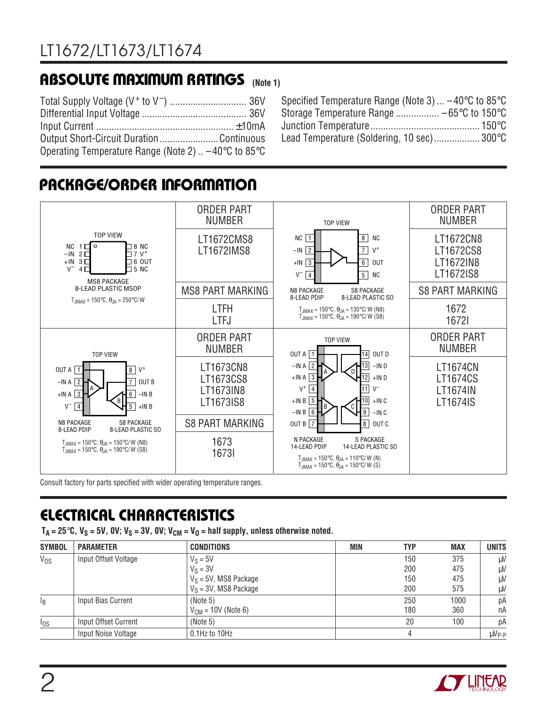# **ABSOLUTE MAXIMUM RATINGS** (Note 1)

| Output Short-Circuit Duration Continuous                                       |  |
|--------------------------------------------------------------------------------|--|
| Operating Temperature Range (Note 2) $\dots$ -40 $\degree$ C to 85 $\degree$ C |  |

| Specified Temperature Range (Note 3) $-40^{\circ}$ C to 85 $^{\circ}$ C |  |
|-------------------------------------------------------------------------|--|
|                                                                         |  |
|                                                                         |  |
| Lead Temperature (Soldering, 10 sec) 300°C                              |  |

# **PACKAGE/ORDER INFORMATION**



Consult factory for parts specified with wider operating temperature ranges.

# **ELECTRICAL CHARACTERISTICS**

 $T_A = 25^\circ \text{C}$ ,  $V_S = 5V$ ,  $0V$ ;  $V_S = 3V$ ,  $0V$ ;  $V_{CM} = V_0 =$  half supply, unless otherwise noted.

| <b>SYMBOL</b> | <b>PARAMETER</b>     | <b>CONDITIONS</b>        | MIN | <b>TYP</b> | <b>MAX</b> | <b>UNITS</b>      |
|---------------|----------------------|--------------------------|-----|------------|------------|-------------------|
| $V_{OS}$      | Input Offset Voltage | $V_S = 5V$               |     | 150        | 375        | μV                |
|               |                      | $V_S = 3V$               |     | 200        | 475        | μV                |
|               |                      | $V_S = 5V$ , MS8 Package |     | 150        | 475        | μV                |
|               |                      | $V_S = 3V$ , MS8 Package |     | 200        | 575        | μV                |
| ΙB            | Input Bias Current   | (Note 5)                 |     | 250        | 1000       | рA                |
|               |                      | $V_{CM}$ = 10V (Note 6)  |     | 180        | 360        | nA                |
| $I_{OS}$      | Input Offset Current | (Note 5)                 |     | 20         | 100        | рA                |
|               | Input Noise Voltage  | 0.1Hz to 10Hz            |     |            |            | µV <sub>P-P</sub> |

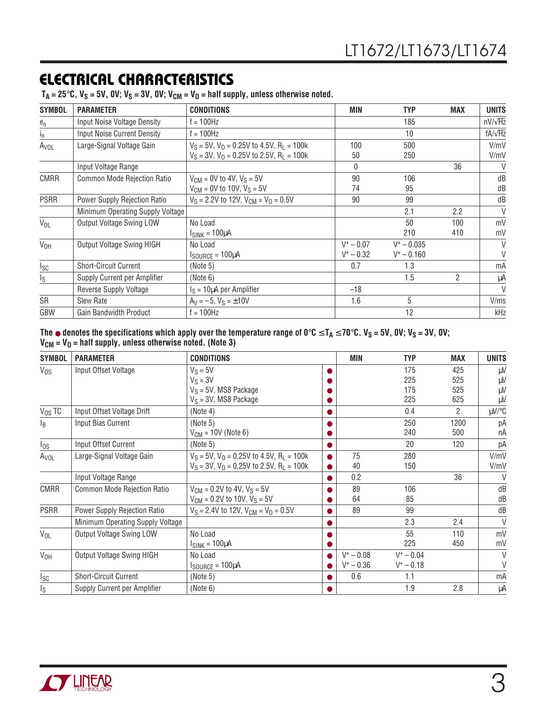# **ELECTRICAL CHARACTERISTICS**

 $T_A = 25^{\circ}C$ ,  $V_S = 5V$ ,  $0V$ ;  $V_S = 3V$ ,  $0V$ ;  $V_{CM} = V_0 =$  half supply, unless otherwise noted.

| <b>SYMBOL</b>           | <b>PARAMETER</b>                    | <b>CONDITIONS</b>                                         | MIN          | <b>TYP</b>    | <b>MAX</b>    | <b>UNITS</b>   |
|-------------------------|-------------------------------------|-----------------------------------------------------------|--------------|---------------|---------------|----------------|
| $e_n$                   | Input Noise Voltage Density         | f = 100Hz                                                 |              | 185           |               | $nV/\sqrt{Hz}$ |
| Ιņ                      | <b>Input Noise Current Density</b>  | $f = 100$ Hz                                              |              | 10            |               | $fA/\sqrt{Hz}$ |
| A <sub>VOL</sub>        | Large-Signal Voltage Gain           | $V_S = 5V$ , $V_O = 0.25V$ to 4.5V, R <sub>L</sub> = 100k | 100          | 500           |               | V/mV           |
|                         |                                     | $V_S = 3V$ , $V_O = 0.25V$ to 2.5V, R <sub>L</sub> = 100k | 50           | 250           |               | V/mV           |
|                         | Input Voltage Range                 |                                                           | $\mathbf{0}$ |               | 36            | $\vee$         |
| <b>CMRR</b>             | Common Mode Rejection Ratio         | $V_{CM}$ = 0V to 4V, $V_S$ = 5V                           | 90           | 106           |               | dB             |
|                         |                                     | $V_{CM}$ = 0V to 10V, $V_S$ = 5V                          | 74           | 95            |               | dB             |
| <b>PSRR</b>             | <b>Power Supply Rejection Ratio</b> | $V_S = 2.2V$ to 12V, $V_{CM} = V_0 = 0.5V$                | 90           | 99            |               | dB             |
|                         | Minimum Operating Supply Voltage    |                                                           |              | 2.1           | 2.2           | $\vee$         |
| $V_{OL}$                | <b>Output Voltage Swing LOW</b>     | No Load                                                   |              | 50            | 100           | mV             |
|                         |                                     | $I_{SINK} = 100 \mu A$                                    |              | 210           | 410           | mV             |
| $V_{OH}$                | <b>Output Voltage Swing HIGH</b>    | No Load                                                   | $V^+ - 0.07$ | $V^+ - 0.035$ |               | V              |
|                         |                                     | $I_{\text{SOURCE}} = 100 \mu A$                           | $V^+ - 0.32$ | $V^+ - 0.160$ |               | V              |
| $I_{SC}$                | <b>Short-Circuit Current</b>        | (Note 5)                                                  | 0.7          | 1.3           |               | mA             |
| $\mathsf{I}_\mathsf{S}$ | Supply Current per Amplifier        | (Note 6)                                                  |              | 1.5           | $\mathcal{P}$ | μA             |
|                         | <b>Reverse Supply Voltage</b>       | $I_S = 10 \mu A$ per Amplifier                            | $-18$        |               |               | $\vee$         |
| SR                      | <b>Slew Rate</b>                    | $A_V = -5$ , $V_S = \pm 10V$                              | 1.6          | 5             |               | V/ms           |
| GBW                     | <b>Gain Bandwidth Product</b>       | $f = 100$ Hz                                              |              | 12            |               | kHz            |

**The** ● **denotes the specifications which apply over the temperature range of 0**°**C** ≤ **TA** ≤ **70**°**C. VS = 5V, 0V; VS = 3V, 0V; VCM = VO = half supply, unless otherwise noted. (Note 3)**

| <b>SYMBOL</b>    | <b>PARAMETER</b>                   | <b>CONDITIONS</b>                                |           | MIN          | <b>TYP</b>   | <b>MAX</b> | <b>UNITS</b> |
|------------------|------------------------------------|--------------------------------------------------|-----------|--------------|--------------|------------|--------------|
| $V_{OS}$         | Input Offset Voltage               | $V_S = 5V$                                       |           |              | 175          | 425        | μV           |
|                  |                                    | $V_S = 3V$                                       |           |              | 225          | 525        | μV           |
|                  |                                    | $V_S = 5V$ , MS8 Package                         |           |              | 175          | 525        | μV           |
|                  |                                    | $V_S = 3V$ , MS8 Package                         |           |              | 225          | 625        | μV           |
| $V_{OS}$ TC      | Input Offset Voltage Drift         | (Note 4)                                         | $\bullet$ |              | 0.4          | 2          | $\mu V$ /°C  |
| $l_{\rm B}$      | Input Bias Current                 | (Note 5)                                         | 0         |              | 250          | 1200       | рA           |
|                  |                                    | $V_{CM}$ = 10V (Note 6)                          |           |              | 240          | 500        | пA           |
| $I_{OS}$         | Input Offset Current               | (Note 5)                                         | $\bullet$ |              | 20           | 120        | рA           |
| A <sub>VOL</sub> | Large-Signal Voltage Gain          | $V_S = 5V$ , $V_O = 0.25V$ to 4.5V, $R_1 = 100k$ | $\bullet$ | 75           | 280          |            | V/mV         |
|                  |                                    | $V_S = 3V$ , $V_O = 0.25V$ to 2.5V, $R_1 = 100k$ | $\bullet$ | 40           | 150          |            | V/mV         |
|                  | Input Voltage Range                |                                                  | $\bullet$ | 0.2          |              | 36         | $\vee$       |
| <b>CMRR</b>      | <b>Common Mode Rejection Ratio</b> | $V_{CM}$ = 0.2V to 4V, $V_S$ = 5V                |           | 89           | 106          |            | dB           |
|                  |                                    | $V_{CM}$ = 0.2V to 10V, $V_S$ = 5V               |           | 64           | 85           |            | dB           |
| <b>PSRR</b>      | Power Supply Rejection Ratio       | $V_S = 2.4V$ to 12V, $V_{CM} = V_0 = 0.5V$       |           | 89           | 99           |            | dB           |
|                  | Minimum Operating Supply Voltage   |                                                  |           |              | 2.3          | 2.4        | V            |
| $V_{OL}$         | <b>Output Voltage Swing LOW</b>    | No Load                                          |           |              | 55           | 110        | mV           |
|                  |                                    | $I_{SINK} = 100 \mu A$                           |           |              | 225          | 450        | mV           |
| V <sub>OH</sub>  | <b>Output Voltage Swing HIGH</b>   | No Load                                          | $\bullet$ | $V^+ - 0.08$ | $V^+ - 0.04$ |            | $\vee$       |
|                  |                                    | $I_{\text{SOURCE}} = 100 \mu A$                  |           | $V^+ - 0.36$ | $V^+ - 0.18$ |            | V            |
| $I_{SC}$         | <b>Short-Circuit Current</b>       | (Note 5)                                         | $\bullet$ | 0.6          | 1.1          |            | mA           |
| Is               | Supply Current per Amplifier       | (Note 6)                                         | $\bullet$ |              | 1.9          | 2.8        | μA           |

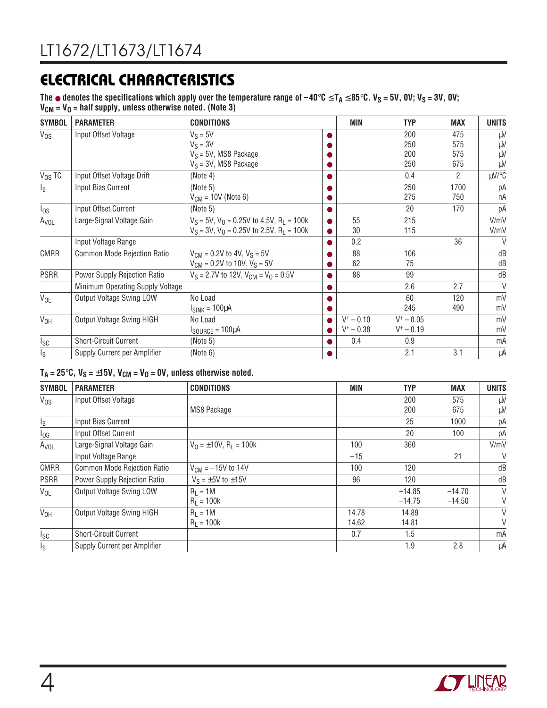# **ELECTRICAL CHARACTERISTICS**

The  $\bullet$  denotes the specifications which apply over the temperature range of  $-40^\circ$ C ≤ T<sub>A</sub> ≤ 85 $^\circ$ C. V<sub>S</sub> = 5V, 0V; V<sub>S</sub> = 3V, 0V;  $V_{CM} = V_0$  = half supply, unless otherwise noted. (Note 3)

| <b>SYMBOL</b>    | <b>PARAMETER</b>                 | <b>CONDITIONS</b>                                         |           | MIN          | <b>TYP</b>   | <b>MAX</b> | <b>UNITS</b> |
|------------------|----------------------------------|-----------------------------------------------------------|-----------|--------------|--------------|------------|--------------|
| $V_{OS}$         | Input Offset Voltage             | $V_S = 5V$                                                |           |              | 200          | 475        | μV           |
|                  |                                  | $V_S = 3V$                                                |           |              | 250          | 575        | μV           |
|                  |                                  | $V_S = 5V$ , MS8 Package                                  |           |              | 200          | 575        | μV           |
|                  |                                  | $V_S = 3V$ , MS8 Package                                  |           |              | 250          | 675        | μV           |
| $V_{OS}$ TC      | Input Offset Voltage Drift       | (Note 4)                                                  |           |              | 0.4          | 2          | $\mu V$ /°C  |
| $I_B$            | Input Bias Current               | (Note 5)                                                  |           |              | 250          | 1700       | рA           |
|                  |                                  | $V_{CM}$ = 10V (Note 6)                                   |           |              | 275          | 750        | nA           |
| $I_{OS}$         | Input Offset Current             | (Note 5)                                                  |           |              | 20           | 170        | рA           |
| A <sub>VOL</sub> | Large-Signal Voltage Gain        | $V_S = 5V$ , $V_O = 0.25V$ to 4.5V, R <sub>L</sub> = 100k | $\bullet$ | 55           | 215          |            | V/mV         |
|                  |                                  | $V_S = 3V$ , $V_O = 0.25V$ to 2.5V, R <sub>L</sub> = 100k | $\bullet$ | 30           | 115          |            | V/mV         |
|                  | Input Voltage Range              |                                                           |           | 0.2          |              | 36         | $\vee$       |
| <b>CMRR</b>      | Common Mode Rejection Ratio      | $V_{CM} = 0.2V$ to 4V, $V_S = 5V$                         |           | 88           | 106          |            | dB           |
|                  |                                  | $V_{CM}$ = 0.2V to 10V, $V_S$ = 5V                        |           | 62           | 75           |            | dB           |
| <b>PSRR</b>      | Power Supply Rejection Ratio     | $V_S = 2.7V$ to 12V, $V_{CM} = V_0 = 0.5V$                | $\bullet$ | 88           | 99           |            | dB           |
|                  | Minimum Operating Supply Voltage |                                                           |           |              | 2.6          | 2.7        | $\vee$       |
| V <sub>OL</sub>  | <b>Output Voltage Swing LOW</b>  | No Load                                                   |           |              | 60           | 120        | mV           |
|                  |                                  | $I_{SINK} = 100 \mu A$                                    |           |              | 245          | 490        | mV           |
| V <sub>OH</sub>  | Output Voltage Swing HIGH        | No Load                                                   |           | $V^+ - 0.10$ | $V^+ - 0.05$ |            | mV           |
|                  |                                  | $I_{\text{SOURCE}} = 100 \mu A$                           |           | $V^+ - 0.38$ | $V^+ - 0.19$ |            | mV           |
| Isc              | <b>Short-Circuit Current</b>     | (Note 5)                                                  |           | 0.4          | 0.9          |            | mA           |
| Is               | Supply Current per Amplifier     | (Note 6)                                                  |           |              | 2.1          | 3.1        | μA           |

#### $T_A = 25^\circ \text{C}$ ,  $V_S = \pm 15 \text{V}$ ,  $V_{\text{CM}} = V_0 = 0 \text{V}$ , unless otherwise noted.

| <b>SYMBOL</b>   | <b>PARAMETER</b>             | <b>CONDITIONS</b>                       | MIN   | <b>TYP</b> | <b>MAX</b> | <b>UNITS</b> |
|-----------------|------------------------------|-----------------------------------------|-------|------------|------------|--------------|
| $V_{OS}$        | Input Offset Voltage         |                                         |       | 200        | 575        | μV           |
|                 |                              | MS8 Package                             |       | 200        | 675        | μV           |
| $I_B$           | Input Bias Current           |                                         |       | 25         | 1000       | рA           |
| $I_{OS}$        | Input Offset Current         |                                         |       | 20         | 100        | рA           |
| Avol            | Large-Signal Voltage Gain    | $V_0 = \pm 10V$ , R <sub>1</sub> = 100k | 100   | 360        |            | V/mV         |
|                 | Input Voltage Range          |                                         | $-15$ |            | 21         | $\vee$       |
| <b>CMRR</b>     | Common Mode Rejection Ratio  | $V_{CM} = -15V$ to 14V                  | 100   | 120        |            | dB           |
| <b>PSRR</b>     | Power Supply Rejection Ratio | $V_S = \pm 5V$ to $\pm 15V$             | 96    | 120        |            | dB           |
| $V_{OL}$        | Output Voltage Swing LOW     | $R_1 = 1M$                              |       | $-14.85$   | $-14.70$   | V            |
|                 |                              | $R_1 = 100k$                            |       | $-14.75$   | $-14.50$   | V            |
| V <sub>OH</sub> | Output Voltage Swing HIGH    | $R_1 = 1M$                              | 14.78 | 14.89      |            | V            |
|                 |                              | $R_1 = 100k$                            | 14.62 | 14.81      |            | V            |
| I <sub>SC</sub> | <b>Short-Circuit Current</b> |                                         | 0.7   | 1.5        |            | mA           |
| Is              | Supply Current per Amplifier |                                         |       | 1.9        | 2.8        | μA           |

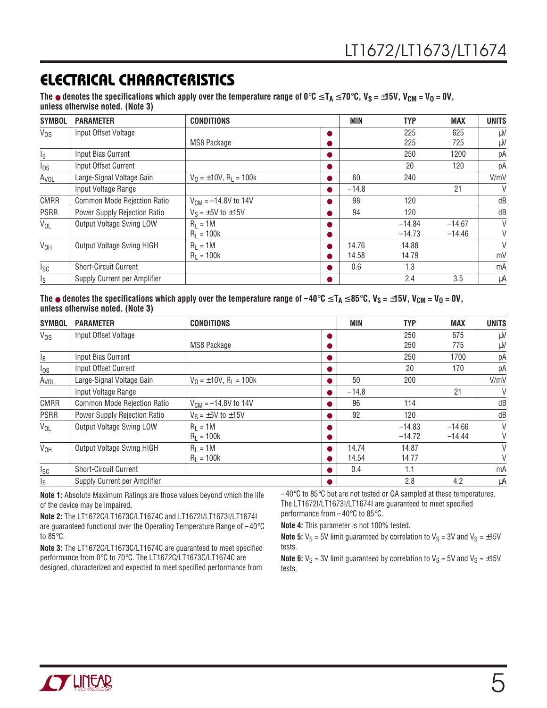## **ELECTRICAL CHARACTERISTICS**

The  $\bullet$  denotes the specifications which apply over the temperature range of 0°**C** ≤ T<sub>A</sub> ≤ 70°**C**, V<sub>S</sub> = ±15V, V<sub>CM</sub> = V<sub>O</sub> = 0V, **unless otherwise noted. (Note 3)**

| <b>SYMBOL</b>    | <b>PARAMETER</b>                    | <b>CONDITIONS</b>                       |           | <b>MIN</b> | <b>TYP</b> | <b>MAX</b> | <b>UNITS</b> |
|------------------|-------------------------------------|-----------------------------------------|-----------|------------|------------|------------|--------------|
| $V_{OS}$         | Input Offset Voltage                |                                         |           |            | 225        | 625        | μV           |
|                  |                                     | MS8 Package                             |           |            | 225        | 725        | μV           |
| l <sub>B</sub>   | Input Bias Current                  |                                         |           |            | 250        | 1200       | рA           |
| $\log$           | Input Offset Current                |                                         |           |            | 20         | 120        | рA           |
| A <sub>VOL</sub> | Large-Signal Voltage Gain           | $V_0 = \pm 10V$ , R <sub>1</sub> = 100k | $\bullet$ | 60         | 240        |            | V/mV         |
|                  | Input Voltage Range                 |                                         | $\bullet$ | $-14.8$    |            | 21         | $\vee$       |
| <b>CMRR</b>      | Common Mode Rejection Ratio         | $V_{CM} = -14.8V$ to 14V                |           | 98         | 120        |            | dB           |
| <b>PSRR</b>      | <b>Power Supply Rejection Ratio</b> | $V_S = \pm 5V$ to $\pm 15V$             |           | 94         | 120        |            | dB           |
| $V_{OL}$         | <b>Output Voltage Swing LOW</b>     | $R_1 = 1M$                              |           |            | $-14.84$   | $-14.67$   | $\vee$       |
|                  |                                     | $R_1 = 100k$                            |           |            | $-14.73$   | $-14.46$   | V            |
| V <sub>OH</sub>  | <b>Output Voltage Swing HIGH</b>    | $R_1 = 1M$                              |           | 14.76      | 14.88      |            | $\vee$       |
|                  |                                     | $R_1 = 100k$                            | $\bullet$ | 14.58      | 14.79      |            | mV           |
| Isc              | <b>Short-Circuit Current</b>        |                                         | $\bullet$ | 0.6        | 1.3        |            | mA           |
| Is               | Supply Current per Amplifier        |                                         |           |            | 2.4        | 3.5        | μA           |

The  $\bullet$  denotes the specifications which apply over the temperature range of −40°C ≤ T<sub>A</sub> ≤ 85°C, V<sub>S</sub> = ±15V, V<sub>CM</sub> = V<sub>O</sub> = 0V, **unless otherwise noted. (Note 3)**

| <b>SYMBOL</b>    | <b>PARAMETER</b>                    | <b>CONDITIONS</b>                       |   | <b>MIN</b> | <b>TYP</b> | <b>MAX</b> | <b>UNITS</b> |
|------------------|-------------------------------------|-----------------------------------------|---|------------|------------|------------|--------------|
| $V_{OS}$         | Input Offset Voltage                |                                         |   |            | 250        | 675        | $\mu$ V      |
|                  |                                     | MS8 Package                             |   |            | 250        | 775        | $\mu$ V      |
| $I_B$            | Input Bias Current                  |                                         |   |            | 250        | 1700       | pA           |
| $I_{OS}$         | Input Offset Current                |                                         |   |            | 20         | 170        | pA           |
| A <sub>VOL</sub> | Large-Signal Voltage Gain           | $V_0 = \pm 10V$ , R <sub>1</sub> = 100k |   | 50         | 200        |            | V/mV         |
|                  | Input Voltage Range                 |                                         |   | $-14.8$    |            | 21         | $\vee$       |
| <b>CMRR</b>      | Common Mode Rejection Ratio         | $V_{CM} = -14.8V$ to 14V                |   | 96         | 114        |            | dB           |
| <b>PSRR</b>      | <b>Power Supply Rejection Ratio</b> | $V_S = \pm 5V$ to $\pm 15V$             |   | 92         | 120        |            | dB           |
| $V_{OL}$         | Output Voltage Swing LOW            | $R_1 = 1M$                              |   |            | $-14.83$   | $-14.66$   | V            |
|                  |                                     | $R_1 = 100k$                            |   |            | $-14.72$   | $-14.44$   | V            |
| V <sub>OH</sub>  | <b>Output Voltage Swing HIGH</b>    | $R_1 = 1M$                              |   | 14.74      | 14.87      |            | V            |
|                  |                                     | $R_1 = 100k$                            |   | 14.54      | 14.77      |            | V            |
| Isc              | <b>Short-Circuit Current</b>        |                                         | ● | 0.4        | 1.1        |            | mA           |
| l <sub>S</sub>   | Supply Current per Amplifier        |                                         |   |            | 2.8        | 4.2        | μA           |

**Note 1:** Absolute Maximum Ratings are those values beyond which the life of the device may be impaired.

**Note 2:** The LT1672C/LT1673C/LT1674C and LT1672I/LT1673I/LT1674I are guaranteed functional over the Operating Temperature Range of –40°C to 85°C.

**Note 3:** The LT1672C/LT1673C/LT1674C are guaranteed to meet specified performance from 0°C to 70°C. The LT1672C/LT1673C/LT1674C are designed, characterized and expected to meet specified performance from

 $-40^{\circ}$ C to 85 $^{\circ}$ C but are not tested or QA sampled at these temperatures. The LT1672I/LT1673I/LT1674I are guaranteed to meet specified performance from –40°C to 85°C.

**Note 4:** This parameter is not 100% tested.

**Note 5:**  $V_S = 5V$  limit guaranteed by correlation to  $V_S = 3V$  and  $V_S = \pm 15V$ tests.

**Note 6:**  $V_S = 3V$  limit guaranteed by correlation to  $V_S = 5V$  and  $V_S = \pm 15V$ tests.

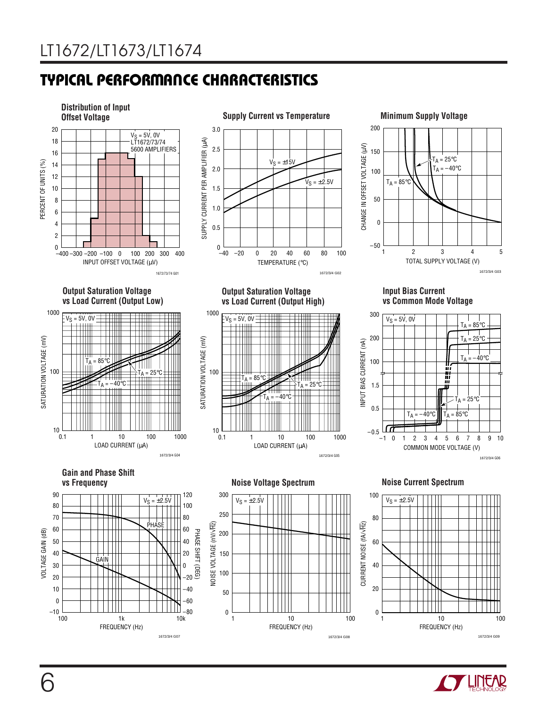# **TYPICAL PERFORMANCE CHARACTERISTICS W U**



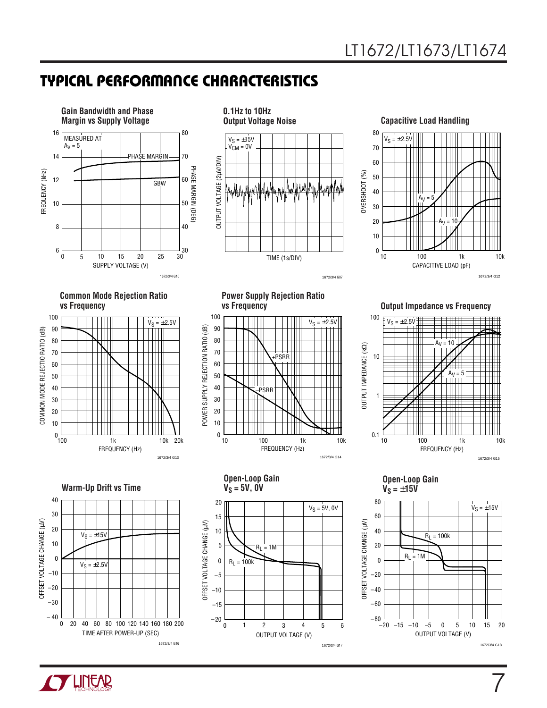# **TYPICAL PERFORMANCE CHARACTERISTICS W U**



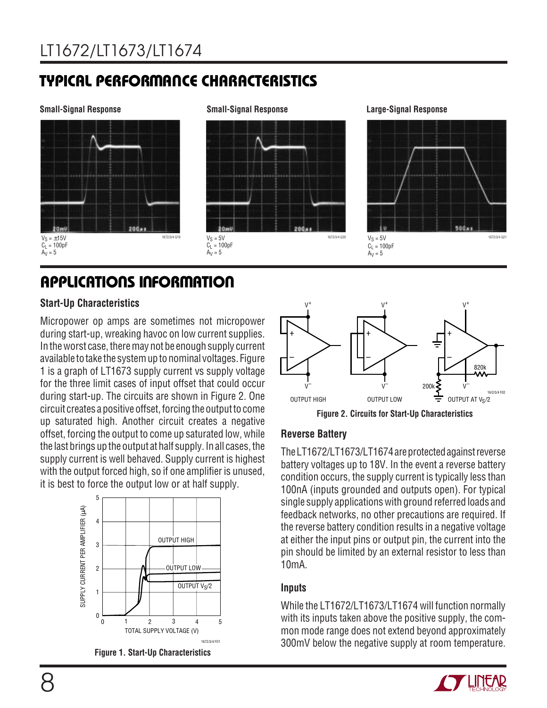# **TYPICAL PERFORMANCE CHARACTERISTICS W U**



# **APPLICATIONS INFORMATION**

#### **Start-Up Characteristics**

Micropower op amps are sometimes not micropower during start-up, wreaking havoc on low current supplies. In the worst case, there may not be enough supply current available to take the system up to nominal voltages. Figure 1 is a graph of LT1673 supply current vs supply voltage for the three limit cases of input offset that could occur during start-up. The circuits are shown in Figure 2. One circuit creates a positive offset, forcing the output to come up saturated high. Another circuit creates a negative offset, forcing the output to come up saturated low, while the last brings up the output at half supply. In all cases, the supply current is well behaved. Supply current is highest with the output forced high, so if one amplifier is unused, it is best to force the output low or at half supply.



**Figure 1. Start-Up Characteristics**



#### **Reverse Battery**

The LT1672/LT1673/LT1674 are protected against reverse battery voltages up to 18V. In the event a reverse battery condition occurs, the supply current is typically less than 100nA (inputs grounded and outputs open). For typical single supply applications with ground referred loads and feedback networks, no other precautions are required. If the reverse battery condition results in a negative voltage at either the input pins or output pin, the current into the pin should be limited by an external resistor to less than 10mA.

#### **Inputs**

While the LT1672/LT1673/LT1674 will function normally with its inputs taken above the positive supply, the common mode range does not extend beyond approximately 300mV below the negative supply at room temperature.

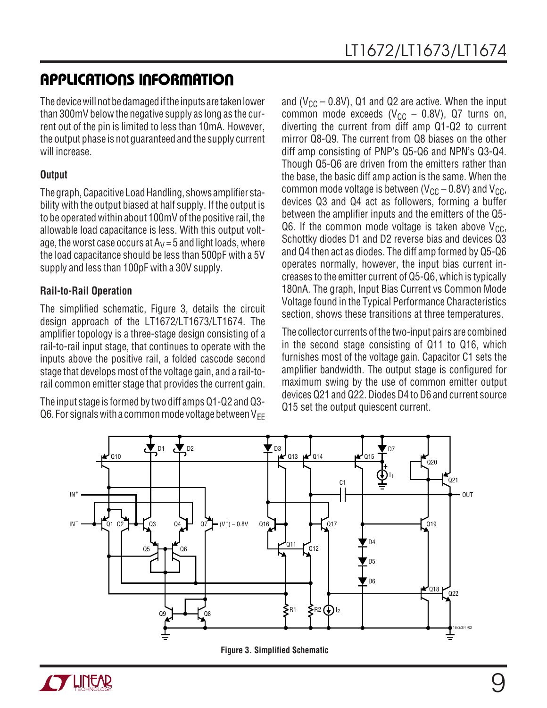# **APPLICATIONS INFORMATION**

The device will not be damaged if the inputs are taken lower than 300mV below the negative supply as long as the current out of the pin is limited to less than 10mA. However, the output phase is not guaranteed and the supply current will increase.

### **Output**

The graph, Capacitive Load Handling, shows amplifier stability with the output biased at half supply. If the output is to be operated within about 100mV of the positive rail, the allowable load capacitance is less. With this output voltage, the worst case occurs at  $A_V = 5$  and light loads, where the load capacitance should be less than 500pF with a 5V supply and less than 100pF with a 30V supply.

### **Rail-to-Rail Operation**

The simplified schematic, Figure 3, details the circuit design approach of the LT1672/LT1673/LT1674. The amplifier topology is a three-stage design consisting of a rail-to-rail input stage, that continues to operate with the inputs above the positive rail, a folded cascode second stage that develops most of the voltage gain, and a rail-torail common emitter stage that provides the current gain.

The input stage is formed by two diff amps Q1-Q2 and Q3- Q6. For signals with a common mode voltage between  $V_{FF}$  and ( $V_{CC}$  – 0.8V), Q1 and Q2 are active. When the input common mode exceeds ( $V_{CC}$  – 0.8V), Q7 turns on, diverting the current from diff amp Q1-Q2 to current mirror Q8-Q9. The current from Q8 biases on the other diff amp consisting of PNP's Q5-Q6 and NPN's Q3-Q4. Though Q5-Q6 are driven from the emitters rather than the base, the basic diff amp action is the same. When the common mode voltage is between ( $V_{CC}$  – 0.8V) and  $V_{CC}$ , devices Q3 and Q4 act as followers, forming a buffer between the amplifier inputs and the emitters of the Q5- Q6. If the common mode voltage is taken above  $V_{CC}$ , Schottky diodes D1 and D2 reverse bias and devices  $\overline{Q}3$ and Q4 then act as diodes. The diff amp formed by Q5-Q6 operates normally, however, the input bias current increases to the emitter current of Q5-Q6, which is typically 180nA. The graph, Input Bias Current vs Common Mode Voltage found in the Typical Performance Characteristics section, shows these transitions at three temperatures.

The collector currents of the two-input pairs are combined in the second stage consisting of Q11 to Q16, which furnishes most of the voltage gain. Capacitor C1 sets the amplifier bandwidth. The output stage is configured for maximum swing by the use of common emitter output devices Q21 and Q22. Diodes D4 to D6 and current source Q15 set the output quiescent current.



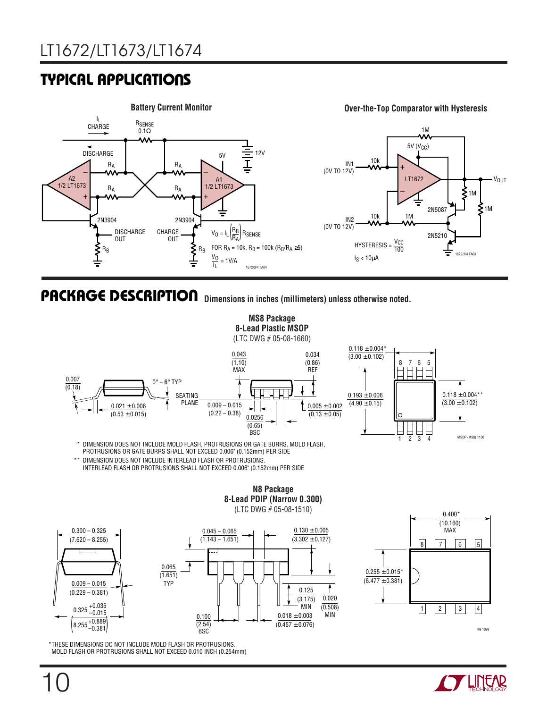# **TYPICAL APPLICATIONS**



### **Dimensions in inches (millimeters) unless otherwise noted. U PACKAGE DESCRIPTIO**



 $\frac{0.100}{(2.54)}$ BSC<sup>1</sup> 0.020 MIN (0.508)  $\frac{1}{1} \begin{vmatrix} 2 & 3 & 4 \end{vmatrix}$  $0.018\pm0.003$  $(0.457 \pm 0.076)$  $\overline{(3.175)}$ <br>- MIN \*THESE DIMENSIONS DO NOT INCLUDE MOLD FLASH OR PROTRUSIONS. MOLD FLASH OR PROTRUSIONS SHALL NOT EXCEED 0.010 INCH (0.254mm)



0.325 +0.035 –0.015  $\left( \text{8.255}\,_{\text{-0.381}}^{\text{+0.889}} \right)$ 



N8 1098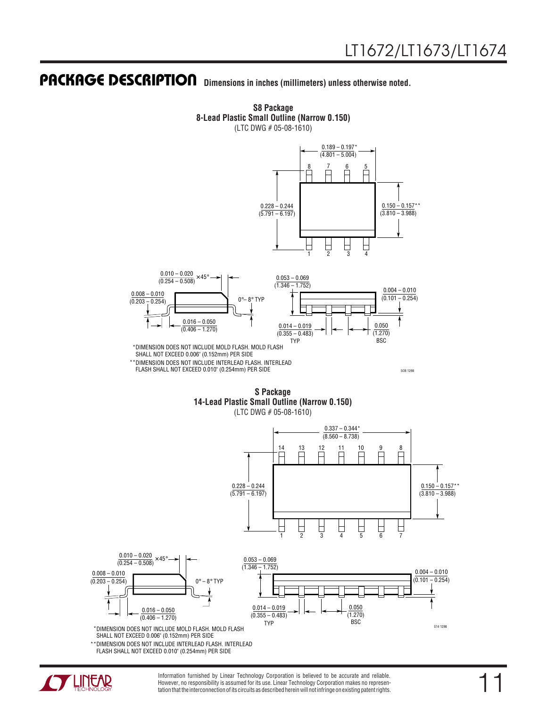### **Dimensions in inches (millimeters) unless otherwise noted. U PACKAGE DESCRIPTIO**



**S8 Package 8-Lead Plastic Small Outline (Narrow 0.150)** (LTC DWG # 05-08-1610)

SO8 1298

**S Package 14-Lead Plastic Small Outline (Narrow 0.150)**

FLASH SHALL NOT EXCEED 0.010" (0.254mm) PER SIDE

(LTC DWG # 05-08-1610)



\*\*DIMENSION DOES NOT INCLUDE INTERLEAD FLASH. INTERLEAD FLASH SHALL NOT EXCEED 0.010" (0.254mm) PER SIDE